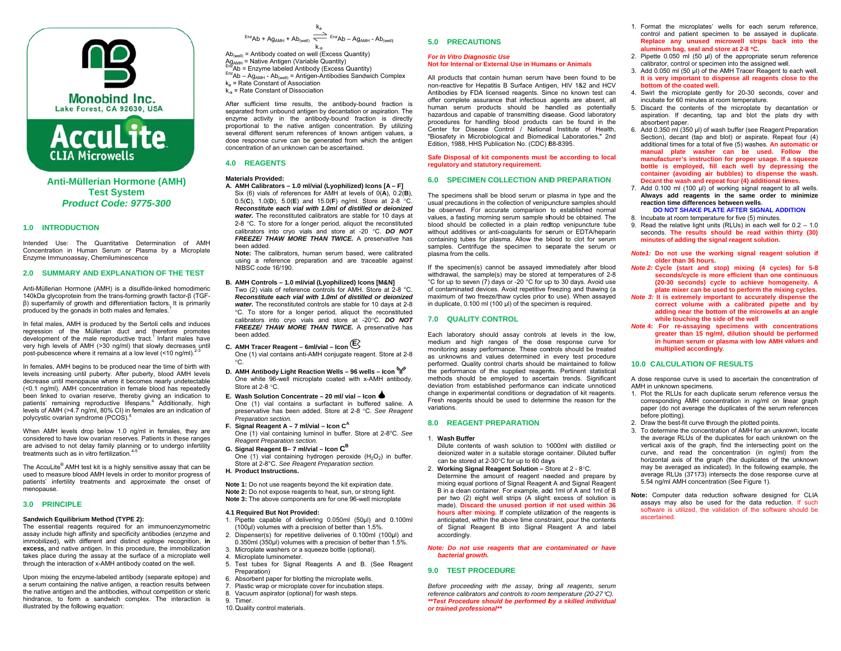



**Anti-Mü üllerian Hormone (AMH)**  *Product Code: 9775-3300***Test System** 

# **1.0 INTRODUCCTION**

Intended Use: The Quantitative Determination of AMH Concentration in Human Serum or Plasma by a Microplate Enzyme Immunoass say, Chemiluminescence

## **2.0 SUMMARYY AND EXPLANATION OOF THE TEST**

Anti-Müllerian Hormone (AMH) is a disulfide-linked homodimeric 140kDa glycoprotein from the trans-forming growth factor-β (TGFβ) superfamily of growth and differentiation factors. It is primarily  $\frac{1}{2}$  produced by the gonads in both males and females.<sup>1</sup>

In fetal males, AMH is produced by the Sertoli cells and induces regression of the Müllerian duct and therefore promotes development of the male reproductive tract.<sup>1</sup> Infant males have very high levels of AMH (>30 ng/ml) that slowly decreases until post-pubescence where it remains at a low level (<10 ng/ml).<sup>2-3</sup>

In females, AMH begins to be produced near the time of birth with levels increasing until puberty. After puberty, blood AMH levels decrease until menopause where it becomes nearly undetectable (<0.1 ng/ml). AMH concentration in female bloood has repeatedly been linked to ovarian reserve, thereby giving an indication to patients' remaining reproductive lifespans.<sup>4</sup> Additionally, high levels of AMH (>4.7 ng/ml, 80% CI) in females are an indication of polycystic ovarian syndrome (PCOS).<sup>4</sup>

When AMH levels drop below 1.0 ng/ml in females, they are considered to have low ovarian reserves. Patients in these ranges are advised to not delay family planning or to undergo infertility treatments such as in vitro fertilization. $4-5$ 

The AccuLite® AMH test kit is a highly sensitive assay that can be used to measure blood AMH levels in order to monitor progress of patients' infertility treatments and approxim ate the onset of menopause.

# **3.0 PRINCIPLE**

# **Sandwich Equilibr Eium Method (TYPE 2):**

The essential reagents required for an immunoenzymometric assay include high affinity and specificity antibodies (enzyme and immobilized), with different and distinct epito pe recognition, **in**  excess, and native antigen. In this procedure, the immobilization takes place during the assay at the surface of a microplate well through the interaction of x-AMH antibody coated on the well.

Upon mixing the enzyme-labeled antibody (separate epitope) and a serum containing the native antigen, a reaction results between the native antigen and the antibodies, without competition or steric hindrance, to form a sandwich complex. The interaction is illustrated by the following equation:

```
\overline{E}_{PZ}Ab + Ag<sub>AMH</sub> + Ab<sub>(well)</sub> \overrightarrow{E}_{PZ}Ab – Ag<sub>AMH</sub> - Ab<sub>(well)</sub>
                                                ka
```
k<sub>a</sub><br>Ab<sub>(well)</sub> = Antibody coated on well (Excess Quantity) AD – AgAMH  $\cdot$  AU<sub>(well)</sub> = Antibody coated on well (Excess Quantity)<br>Ag<sub>AMH</sub> = Antibody coated on well (Excess Quantity)<br> $A_{\text{Q}_{\text{AMH}}} = \text{Rate}$  Antibodies Quantity)<br>  $\frac{\text{Era}}{\text{A}}$ Ab = Enzyme labeled Antibody (Excess Qu

- Ag<sub>AMH</sub> = Native Antigen (Variable Quantity)<br><sup>Enz</sup>Ab = Enzyme labeled Antibody (Excess Quantity)
- 
- k<sub>a</sub> = Rate Constant of Association  $k_a$  = Rate Constant of Dissociation

After sufficient time results, the antibody-bound fraction is separated from unbound antigen by decantation or aspiration. The enzyme activity in the antibody-bound fraction is directly proportional to the native antigen concentration. By utilizing several different serum references of known antigen values, a dose response curve can be generated from which the antigen concentration of an unknown can be ascertained.

# **4.0 REAGENTS**

# **Matterials Provided:**

 **A. A AMH Calibrators – 1.0 ml/vvial (Lyophilized) Icons [A – – F]** Six (6) vials of references for AMH at levels of  $O(A)$ ,  $O.2(B)$ , 0.5(C), 1.0(D), 5.0(E) and 15.0(F) ng/ml. Store at 2-8 °C. *RReconstitute each vial witth 1.0ml of distilled or dei ionized* water. The reconstituted calibrators are stable for 10 days at 2-8 °C. To store for a longer period, aliquot the reconstituted calibrators into cryo vials and store at -20 °C. DO NOT FREEZE/ THAW MORE THAN TWICE. A preservative has been added.

Note: The calibrators, human serum based, were calibrated using a reference preparation and are traceable against NIBSC code 16/190.

- **B. AAMH Controls 1.0 ml/vial l (Lyophilized) Icons [M&N ]**
- Two (2) vials of reference controls for AMH. Store at 2-8 °C. *RReconstitute each vial wit th 1.0ml of distilled or dei ionized* water. The reconstituted controls are stable for 10 days at 2-8 <sup>o</sup>C. To store for a longer period, aliquot the reconstituted calibrators into cryo vials and store at -20°C. **DO NOT** FREEZE/ THAW MORE THAN TWICE. A preservative has b been added.
- **C. A AMH Tracer Reagent 6m l/vial Icon <sup>E</sup>**
	- One (1) vial contains anti-AMH conjugate reagent. Store at 2-8 C.
- **D. AAMH Antibody Light React tion Wells 96 wells Iconn**One white 96-well microplate coated with x-AMH antibody. Store at  $2-8$  °C.
- **E. WWash Solution Concentratte 20 ml/ vial Icon** One (1) vial contains a surfactant in buffered saline. A preservative has been added. Store at 2-8 °C. See Reagent *PPreparation section.*
- **F. SSignal Reagent A 7 ml/vi al Icon C<sup>A</sup>** One (1) vial containing luminol in buffer. Store at 2-8°C. See *RReagent Preparation section n.*
- **G. SSignal Reagent B– 7 ml/via al Icon C<sup>B</sup>** One (1) vial containing hydrogen peroxide  $(H_2O_2)$  in buffer. Store at 2-8°C. See Reagent Preparation section.

**H. PProduct Instructions.** 

**Note 1:** Do not use reagents beyond the kit expiration date. **Note 2:** Do not expose reagents to heat, sun, or strong light. Note 3: The above components are for one 96-well microplate

# **4.1 Required But Not Provided d:**

- 1. Pipette capable of delivering 0.050ml (50µl) and 0.100ml ( (100µl) volumes with a preci sion of better than 1.5%.
- 2. Dispenser(s) for repetitive deliveries of 0.100ml (100 $\mu$ l) and  $0.350$ ml ( $350$ µl) volumes with a precision of better than 1.5%.
- 3. Microplate washers or a squeeze bottle (optional).
- 4. Microplate luminometer.
- 5. Test tubes for Signal Reagents A and B. (See Reagent Preparation)
- 6. Absorbent paper for blotting the microplate wells.
- 7. Plastic wrap or microplate cover for incubation steps.
- 8. Vacuum aspirator (optional) for wash steps.
- 9. Timer.
- 10. Q Quality control materials.

# **5.0 PRECAAUTIONS**

## *For In Vitro Dia agnostic Use* **Not for Internal or External Use in Humans or Animals**

All products that contain human serum have been found to be non-reactive for Hepatitis B Surface Antigen, HIV 1&2 and HCV Antibodies by FDA licensed reagents. Since no known test can offer complete assurance that infectious agents are absent, all human serum products should be ha andled as potentially hazardous and capable of transmitting disease. Good laboratory procedures for handling blood products can be found in the Center for Disease Control / National Institute of Health, "Biosafety in Microbiological and Biomedical Laboratories," 2nd Edition, 1988, HHS Publication No. (CDC) 88-8395.

## Safe Disposal of kit components must be according to local **regulatory and statutory requirement.**

## **6.0 SPECIMMEN COLLECTION ANDD PREPARATION**

The specimens shall be blood serum or plasma in type and the usual precautions in the collection of venipuncture samples should be observed. For accurate comparison to established normal values, a fasting morning serum sample should be obtained. The blood should be collected in a plain redtop venipuncture tube without additives or anti-coagulants for serum or EDTA/heparin containing tubes for plasma. Allow the bilood to clot for serum samples. Centrifuge the specimen to separate the serum or plasma from the cells.

If the specimen(s) cannot be assayed immediately after blood withdrawal, the sample(s) may be stored at temperatures of 2-8 °C for up to seven (7) days or -20 °C for up to 30 days. Avoid use of contaminated devices. Avoid repetitive freezing and thawing (a maximum of two freeze/thaw cycles prior to use). When assayed in duplicate, 0.100 ml (100 µl) of the specimen is required.

# **7.0 QUALITTY CONTROL**

Each laboratory should assay controls at levels in the low, medium and high ranges of the dose response curve for monitoring assay performance. These controls should be treated as unknowns and values determined in every test procedure performed. Quality control charts should be maintained to follow the performance of the supplied reagents. Pertinent statistical methods should be employed to ascertain trends. Significant deviation from established performance can indicate unnoticed change in experimental conditions or degradation of kit reagents. Fresh reagents should be used to determine the reason for the variations.

# **8.0 REAGEENT PREPARATION**

## 1. **Wash Buffeer**

Dilute contents of wash solution to 1000ml with distilled or deionized water in a suitable storage container. Diluted buffer can be stored at 2-30°C for up to 60 days

- 2. Working Signal Reagent Solution Store at 2 8°C. Determine the amount of reagent needed and prepare by mixing equal portions of Signal Reagent A and Signal Reagent B in a clean container. For example, add d 1ml of A and 1ml of B per two (2) eight well strips (A slight excess of solution is made). Discard the unused portion if not used within 36 hours after mixing. If complete utilization of the reagents is anticipated, within the above time constraint, pour the contents of Signal R Reagent B into Signal R Reagent A and label accordingly.
- *Note: Do not use reagents that are c contaminated or have*  **bacterial growth.**

# **9.0 TEST PPROCEDURE**

Before proceeding with the assay, bring all reagents, serum *reference calibrrators and controls to room tetemperature (20-27C).*  \*\*Test Procedure should be performed by a skilled individual *or trained prof fessional\*\**

- 1. Format the microplates' wells for each serum reference, control and patient specimen to be assayed in duplicate. **Replace any unused microwell strips back into the** aluminum bag, seal and store at 2-8 °C.
- 2. Pipette  $0.050$  ml  $(50 \text{ µ})$  of the appropriate serum reference calibrator, control or specimen into the assigned well.
- 3. Add 0.050 ml (50 µl) of the AMH Tracer Reagent to each well. It is very important to dispense all reagents close to the **bottom of the coated wwell.**
- 4. Swirl the microplate gently for 20-30 seconds, cover and incubate for 60 minutes at room temperature.
- 5. Discard the contents of the microplate by dec antation or aspiration. If decantin g, tap and blot the plat e dry with absorbent paper.
- 6. Add 0.350 ml (350 μl) of wash buffer (see Reagent Preparation Section), decant (tap and blot) or aspirate. Repeat four (4) additional times for a total of five (5) washes. **An au utomatic or** manual plate washer can be used. Follow the manufacturer's instruction for proper usage. If a squeeze **bottle is employed, fill each well by depre essing the container (avoiding a air bubbles) to dispense the wash. Decant the wash and rrepeat four (4) additional ti mes.**
- 7. Add 0.100 ml (100 µl) of working signal reagent to all wells. **Always add reagents s in the same order to o minimize reaction time differencces between wells.**
- **DO NOT SHAKE PLATE AFTER SIGNAL ADDITION** 8. Incubate at room temperature for five (5) minutes.
- 9. Read the relative light units (RLUs) in each well for 0.2 1.0 seconds. The results should be read within thirty (30) **minutes of adding the signal reagent solution.**
- *Note1:* **Do not use the working signal reagent solution if older than 36 hours.**
- **Note 2: Cycle (start and stop) mixing (4 cycles) for 5-8 seconds/cycle is more efficient than one ccontinuous (20-30 seconds) cycle to achieve homo geneity. A plate mixer can b be used to perform the mixi ing cycles.**
- *Note 3:* **It is extremely i mmportant to accurately dis spense the**  correct volume with a calibrated pipette and by **adding near the b bottom of the microwells a at an angle**  while touching the side of the well
- Note 4: For re-assaying specimens with concentrations **greater than 15 n ng/ml, dilution should be performed in human serum or plasma with low AMH v values and multiplied accord dingly**.

# **10.0 CALCULATION O OF RESULTS**

A dose response curve is used to ascertain the concentration of AMH in unknown specimens.

- 1. Plot the RLUs for each duplicate serum reference versus the corresponding AMH concentration in ng/ml on linear graph paper (do not average the duplicates of the serum references before plotting).
- 2. Draw the best-fit curve through the plotted points.
- 3. To determine the conceentration of AMH for an unknown, locate the average RLUs of the duplicates for each unknown on the vertical axis of the graph, find the intersecting point on the curve, and read the concentration (in ng/ml) from the horizontal axis of the graph (the duplicates of the unknown may be averaged as indicated). In the following example, the average RLUs (37173) intersects the dose respon se curve at 5.54 ng/ml AMH concentration (See Figure 1).
- Note: Computer data reduction software designed for CLIA assays may also be used for the data reduction. If such software is utilized, the validation of the software should be ascertained.